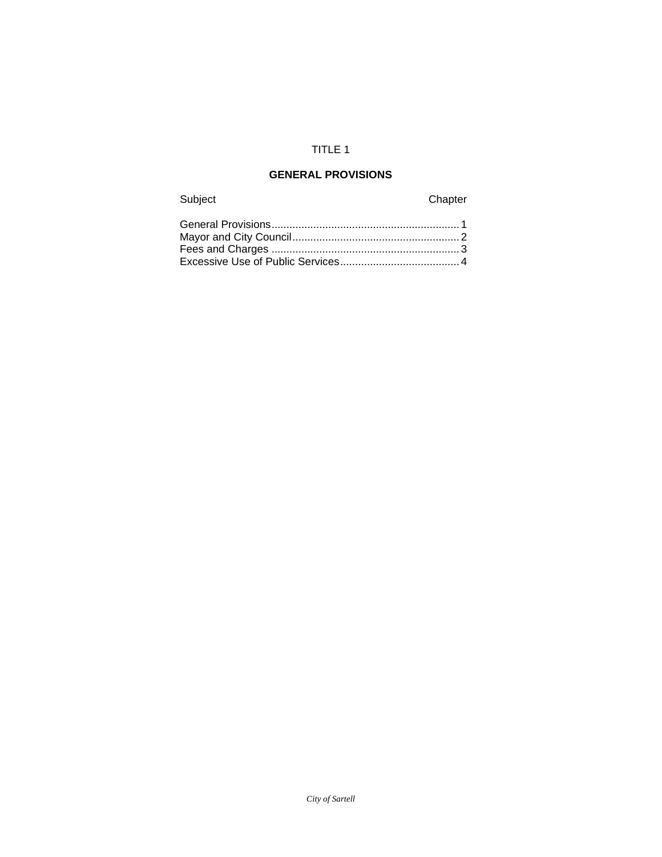# TITLE 1

# **GENERAL PROVISIONS**

# Subject Chapter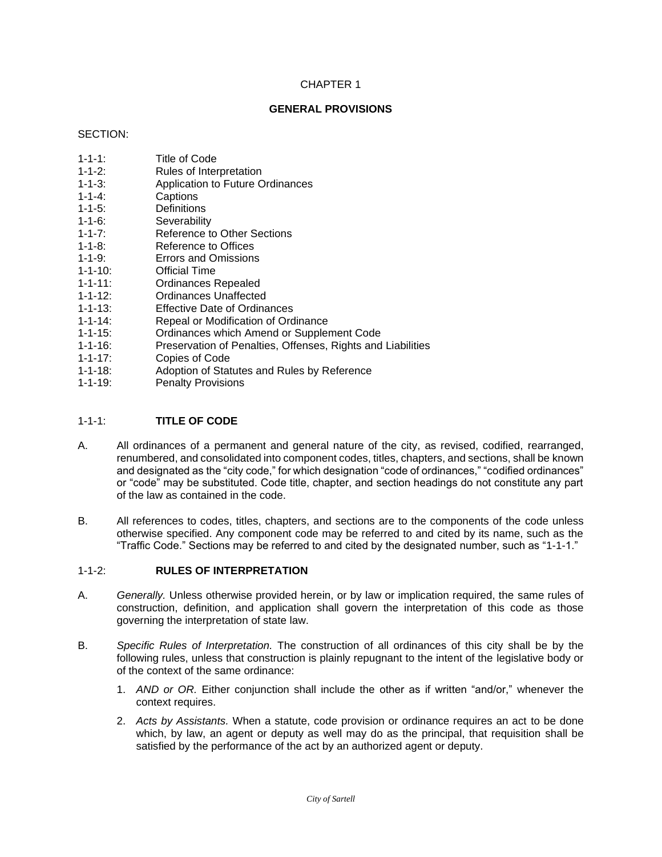#### **GENERAL PROVISIONS**

#### SECTION:

- 1-1-1: Title of Code
- 1-1-2: Rules of Interpretation
- 1-1-3: Application to Future Ordinances
- Captions
- 1-1-5: Definitions
- 1-1-6: Severability
- 1-1-7: Reference to Other Sections
- 1-1-8: Reference to Offices
- 1-1-9: Errors and Omissions
- 1-1-10: Official Time
- 1-1-11: Ordinances Repealed
- 1-1-12: Ordinances Unaffected
- 1-1-13: Effective Date of Ordinances<br>1-1-14: Repeal or Modification of Orc
- 1-1-14: Repeal or Modification of Ordinance<br>1-1-15: Ordinances which Amend or Supple
- Ordinances which Amend or Supplement Code
- 1-1-16: Preservation of Penalties, Offenses, Rights and Liabilities
- 1-1-17: Copies of Code
- Adoption of Statutes and Rules by Reference
- 1-1-19: Penalty Provisions

#### 1-1-1: **TITLE OF CODE**

- A. All ordinances of a permanent and general nature of the city, as revised, codified, rearranged, renumbered, and consolidated into component codes, titles, chapters, and sections, shall be known and designated as the "city code," for which designation "code of ordinances," "codified ordinances" or "code" may be substituted. Code title, chapter, and section headings do not constitute any part of the law as contained in the code.
- B. All references to codes, titles, chapters, and sections are to the components of the code unless otherwise specified. Any component code may be referred to and cited by its name, such as the "Traffic Code." Sections may be referred to and cited by the designated number, such as "1-1-1."

# 1-1-2: **RULES OF INTERPRETATION**

- A. *Generally.* Unless otherwise provided herein, or by law or implication required, the same rules of construction, definition, and application shall govern the interpretation of this code as those governing the interpretation of state law.
- B. *Specific Rules of Interpretation.* The construction of all ordinances of this city shall be by the following rules, unless that construction is plainly repugnant to the intent of the legislative body or of the context of the same ordinance:
	- 1. *AND or OR.* Either conjunction shall include the other as if written "and/or," whenever the context requires.
	- 2. *Acts by Assistants.* When a statute, code provision or ordinance requires an act to be done which, by law, an agent or deputy as well may do as the principal, that requisition shall be satisfied by the performance of the act by an authorized agent or deputy.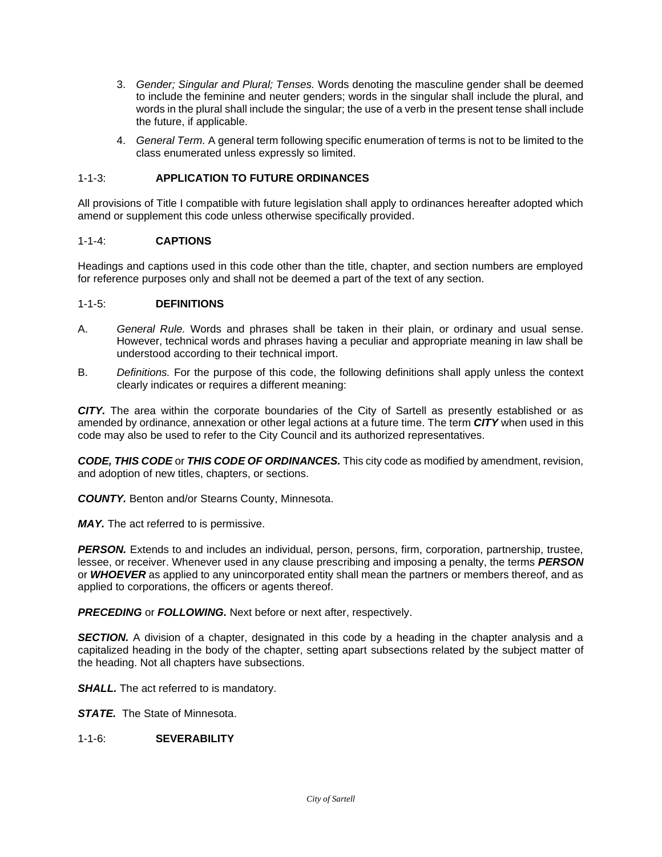- 3. *Gender; Singular and Plural; Tenses.* Words denoting the masculine gender shall be deemed to include the feminine and neuter genders; words in the singular shall include the plural, and words in the plural shall include the singular; the use of a verb in the present tense shall include the future, if applicable.
- 4. *General Term.* A general term following specific enumeration of terms is not to be limited to the class enumerated unless expressly so limited.

# 1-1-3: **APPLICATION TO FUTURE ORDINANCES**

All provisions of Title I compatible with future legislation shall apply to ordinances hereafter adopted which amend or supplement this code unless otherwise specifically provided.

#### 1-1-4: **CAPTIONS**

Headings and captions used in this code other than the title, chapter, and section numbers are employed for reference purposes only and shall not be deemed a part of the text of any section.

#### 1-1-5: **DEFINITIONS**

- A. *General Rule.* Words and phrases shall be taken in their plain, or ordinary and usual sense. However, technical words and phrases having a peculiar and appropriate meaning in law shall be understood according to their technical import.
- B. *Definitions.* For the purpose of this code, the following definitions shall apply unless the context clearly indicates or requires a different meaning:

*CITY.* The area within the corporate boundaries of the City of Sartell as presently established or as amended by ordinance, annexation or other legal actions at a future time. The term *CITY* when used in this code may also be used to refer to the City Council and its authorized representatives.

*CODE, THIS CODE* or *THIS CODE OF ORDINANCES.* This city code as modified by amendment, revision, and adoption of new titles, chapters, or sections.

*COUNTY.* Benton and/or Stearns County, Minnesota.

**MAY.** The act referred to is permissive.

**PERSON.** Extends to and includes an individual, person, persons, firm, corporation, partnership, trustee, lessee, or receiver. Whenever used in any clause prescribing and imposing a penalty, the terms *PERSON*  or *WHOEVER* as applied to any unincorporated entity shall mean the partners or members thereof, and as applied to corporations, the officers or agents thereof.

*PRECEDING* or *FOLLOWING.* Next before or next after, respectively.

**SECTION.** A division of a chapter, designated in this code by a heading in the chapter analysis and a capitalized heading in the body of the chapter, setting apart subsections related by the subject matter of the heading. Not all chapters have subsections.

*SHALL.* The act referred to is mandatory.

**STATE.** The State of Minnesota.

1-1-6: **SEVERABILITY**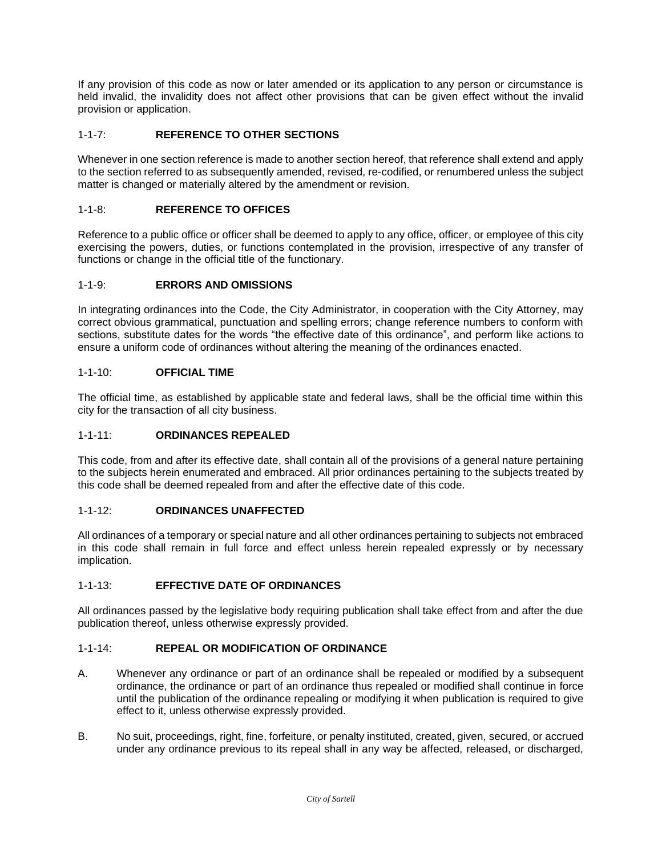If any provision of this code as now or later amended or its application to any person or circumstance is held invalid, the invalidity does not affect other provisions that can be given effect without the invalid provision or application.

# 1-1-7: **REFERENCE TO OTHER SECTIONS**

Whenever in one section reference is made to another section hereof, that reference shall extend and apply to the section referred to as subsequently amended, revised, re-codified, or renumbered unless the subject matter is changed or materially altered by the amendment or revision.

## 1-1-8: **REFERENCE TO OFFICES**

Reference to a public office or officer shall be deemed to apply to any office, officer, or employee of this city exercising the powers, duties, or functions contemplated in the provision, irrespective of any transfer of functions or change in the official title of the functionary.

#### 1-1-9: **ERRORS AND OMISSIONS**

In integrating ordinances into the Code, the City Administrator, in cooperation with the City Attorney, may correct obvious grammatical, punctuation and spelling errors; change reference numbers to conform with sections, substitute dates for the words "the effective date of this ordinance", and perform like actions to ensure a uniform code of ordinances without altering the meaning of the ordinances enacted.

#### 1-1-10: **OFFICIAL TIME**

The official time, as established by applicable state and federal laws, shall be the official time within this city for the transaction of all city business.

#### 1-1-11: **ORDINANCES REPEALED**

This code, from and after its effective date, shall contain all of the provisions of a general nature pertaining to the subjects herein enumerated and embraced. All prior ordinances pertaining to the subjects treated by this code shall be deemed repealed from and after the effective date of this code.

#### 1-1-12: **ORDINANCES UNAFFECTED**

All ordinances of a temporary or special nature and all other ordinances pertaining to subjects not embraced in this code shall remain in full force and effect unless herein repealed expressly or by necessary implication.

# 1-1-13: **EFFECTIVE DATE OF ORDINANCES**

All ordinances passed by the legislative body requiring publication shall take effect from and after the due publication thereof, unless otherwise expressly provided.

#### 1-1-14: **REPEAL OR MODIFICATION OF ORDINANCE**

- A. Whenever any ordinance or part of an ordinance shall be repealed or modified by a subsequent ordinance, the ordinance or part of an ordinance thus repealed or modified shall continue in force until the publication of the ordinance repealing or modifying it when publication is required to give effect to it, unless otherwise expressly provided.
- B. No suit, proceedings, right, fine, forfeiture, or penalty instituted, created, given, secured, or accrued under any ordinance previous to its repeal shall in any way be affected, released, or discharged,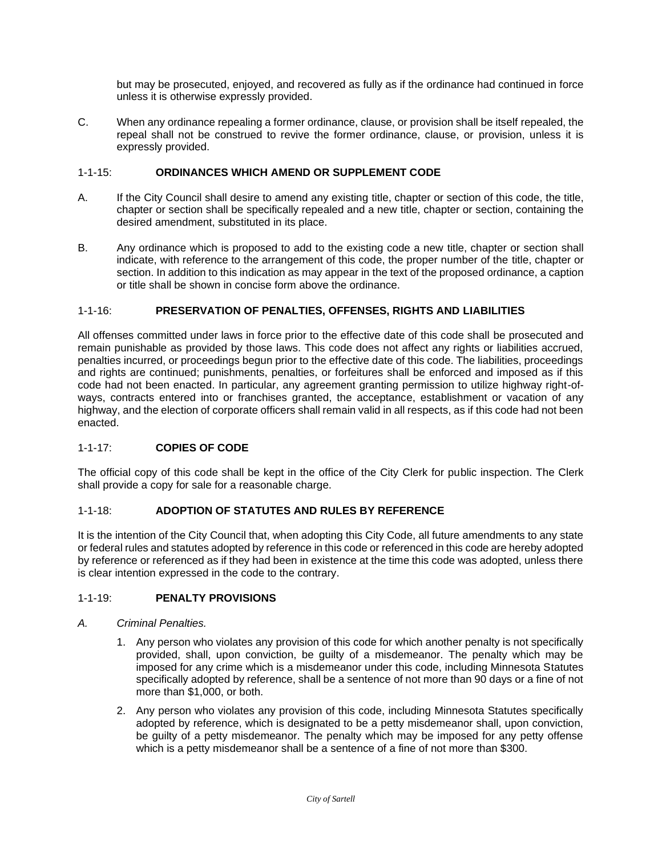but may be prosecuted, enjoyed, and recovered as fully as if the ordinance had continued in force unless it is otherwise expressly provided.

C. When any ordinance repealing a former ordinance, clause, or provision shall be itself repealed, the repeal shall not be construed to revive the former ordinance, clause, or provision, unless it is expressly provided.

# 1-1-15: **ORDINANCES WHICH AMEND OR SUPPLEMENT CODE**

- A. If the City Council shall desire to amend any existing title, chapter or section of this code, the title, chapter or section shall be specifically repealed and a new title, chapter or section, containing the desired amendment, substituted in its place.
- B. Any ordinance which is proposed to add to the existing code a new title, chapter or section shall indicate, with reference to the arrangement of this code, the proper number of the title, chapter or section. In addition to this indication as may appear in the text of the proposed ordinance, a caption or title shall be shown in concise form above the ordinance.

# 1-1-16: **PRESERVATION OF PENALTIES, OFFENSES, RIGHTS AND LIABILITIES**

All offenses committed under laws in force prior to the effective date of this code shall be prosecuted and remain punishable as provided by those laws. This code does not affect any rights or liabilities accrued, penalties incurred, or proceedings begun prior to the effective date of this code. The liabilities, proceedings and rights are continued; punishments, penalties, or forfeitures shall be enforced and imposed as if this code had not been enacted. In particular, any agreement granting permission to utilize highway right-ofways, contracts entered into or franchises granted, the acceptance, establishment or vacation of any highway, and the election of corporate officers shall remain valid in all respects, as if this code had not been enacted.

# 1-1-17: **COPIES OF CODE**

The official copy of this code shall be kept in the office of the City Clerk for public inspection. The Clerk shall provide a copy for sale for a reasonable charge.

# 1-1-18: **ADOPTION OF STATUTES AND RULES BY REFERENCE**

It is the intention of the City Council that, when adopting this City Code, all future amendments to any state or federal rules and statutes adopted by reference in this code or referenced in this code are hereby adopted by reference or referenced as if they had been in existence at the time this code was adopted, unless there is clear intention expressed in the code to the contrary.

# 1-1-19: **PENALTY PROVISIONS**

# *A. Criminal Penalties.*

- 1. Any person who violates any provision of this code for which another penalty is not specifically provided, shall, upon conviction, be guilty of a misdemeanor. The penalty which may be imposed for any crime which is a misdemeanor under this code, including Minnesota Statutes specifically adopted by reference, shall be a sentence of not more than 90 days or a fine of not more than \$1,000, or both.
- 2. Any person who violates any provision of this code, including Minnesota Statutes specifically adopted by reference, which is designated to be a petty misdemeanor shall, upon conviction, be guilty of a petty misdemeanor. The penalty which may be imposed for any petty offense which is a petty misdemeanor shall be a sentence of a fine of not more than \$300.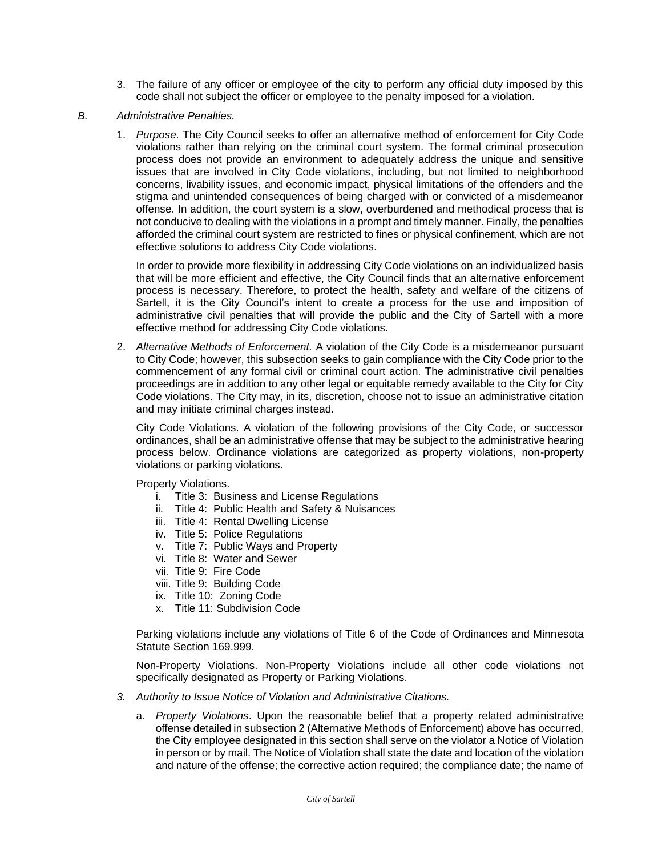- 3. The failure of any officer or employee of the city to perform any official duty imposed by this code shall not subject the officer or employee to the penalty imposed for a violation.
- *B. Administrative Penalties.*
	- 1. *Purpose.* The City Council seeks to offer an alternative method of enforcement for City Code violations rather than relying on the criminal court system. The formal criminal prosecution process does not provide an environment to adequately address the unique and sensitive issues that are involved in City Code violations, including, but not limited to neighborhood concerns, livability issues, and economic impact, physical limitations of the offenders and the stigma and unintended consequences of being charged with or convicted of a misdemeanor offense. In addition, the court system is a slow, overburdened and methodical process that is not conducive to dealing with the violations in a prompt and timely manner. Finally, the penalties afforded the criminal court system are restricted to fines or physical confinement, which are not effective solutions to address City Code violations.

In order to provide more flexibility in addressing City Code violations on an individualized basis that will be more efficient and effective, the City Council finds that an alternative enforcement process is necessary. Therefore, to protect the health, safety and welfare of the citizens of Sartell, it is the City Council's intent to create a process for the use and imposition of administrative civil penalties that will provide the public and the City of Sartell with a more effective method for addressing City Code violations.

2. *Alternative Methods of Enforcement.* A violation of the City Code is a misdemeanor pursuant to City Code; however, this subsection seeks to gain compliance with the City Code prior to the commencement of any formal civil or criminal court action. The administrative civil penalties proceedings are in addition to any other legal or equitable remedy available to the City for City Code violations. The City may, in its, discretion, choose not to issue an administrative citation and may initiate criminal charges instead.

City Code Violations. A violation of the following provisions of the City Code, or successor ordinances, shall be an administrative offense that may be subject to the administrative hearing process below. Ordinance violations are categorized as property violations, non-property violations or parking violations.

Property Violations.

- i. Title 3: Business and License Regulations
- ii. Title 4: Public Health and Safety & Nuisances
- iii. Title 4: Rental Dwelling License
- iv. Title 5: Police Regulations
- v. Title 7: Public Ways and Property
- vi. Title 8: Water and Sewer
- vii. Title 9: Fire Code
- viii. Title 9: Building Code
- ix. Title 10: Zoning Code
- x. Title 11: Subdivision Code

Parking violations include any violations of Title 6 of the Code of Ordinances and Minnesota Statute Section 169.999.

Non-Property Violations. Non-Property Violations include all other code violations not specifically designated as Property or Parking Violations.

- *3. Authority to Issue Notice of Violation and Administrative Citations.*
	- a. *Property Violations*. Upon the reasonable belief that a property related administrative offense detailed in subsection 2 (Alternative Methods of Enforcement) above has occurred, the City employee designated in this section shall serve on the violator a Notice of Violation in person or by mail. The Notice of Violation shall state the date and location of the violation and nature of the offense; the corrective action required; the compliance date; the name of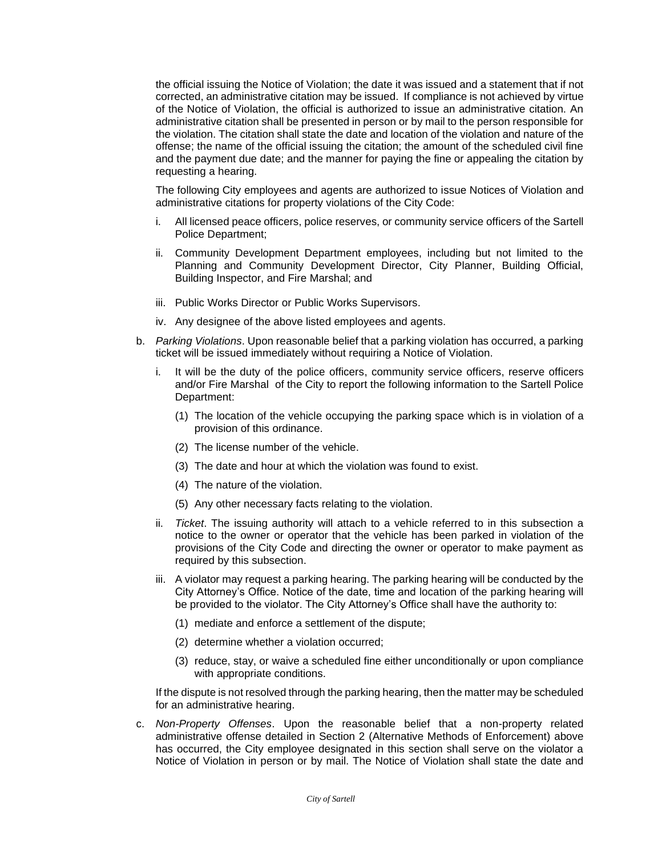the official issuing the Notice of Violation; the date it was issued and a statement that if not corrected, an administrative citation may be issued. If compliance is not achieved by virtue of the Notice of Violation, the official is authorized to issue an administrative citation. An administrative citation shall be presented in person or by mail to the person responsible for the violation. The citation shall state the date and location of the violation and nature of the offense; the name of the official issuing the citation; the amount of the scheduled civil fine and the payment due date; and the manner for paying the fine or appealing the citation by requesting a hearing.

The following City employees and agents are authorized to issue Notices of Violation and administrative citations for property violations of the City Code:

- i. All licensed peace officers, police reserves, or community service officers of the Sartell Police Department;
- ii. Community Development Department employees, including but not limited to the Planning and Community Development Director, City Planner, Building Official, Building Inspector, and Fire Marshal; and
- iii. Public Works Director or Public Works Supervisors.
- iv. Any designee of the above listed employees and agents.
- b. *Parking Violations*. Upon reasonable belief that a parking violation has occurred, a parking ticket will be issued immediately without requiring a Notice of Violation.
	- i. It will be the duty of the police officers, community service officers, reserve officers and/or Fire Marshal of the City to report the following information to the Sartell Police Department:
		- (1) The location of the vehicle occupying the parking space which is in violation of a provision of this ordinance.
		- (2) The license number of the vehicle.
		- (3) The date and hour at which the violation was found to exist.
		- (4) The nature of the violation.
		- (5) Any other necessary facts relating to the violation.
	- ii. *Ticket*. The issuing authority will attach to a vehicle referred to in this subsection a notice to the owner or operator that the vehicle has been parked in violation of the provisions of the City Code and directing the owner or operator to make payment as required by this subsection.
	- iii. A violator may request a parking hearing. The parking hearing will be conducted by the City Attorney's Office. Notice of the date, time and location of the parking hearing will be provided to the violator. The City Attorney's Office shall have the authority to:
		- (1) mediate and enforce a settlement of the dispute;
		- (2) determine whether a violation occurred;
		- (3) reduce, stay, or waive a scheduled fine either unconditionally or upon compliance with appropriate conditions.

If the dispute is not resolved through the parking hearing, then the matter may be scheduled for an administrative hearing.

c. *Non-Property Offenses*. Upon the reasonable belief that a non-property related administrative offense detailed in Section 2 (Alternative Methods of Enforcement) above has occurred, the City employee designated in this section shall serve on the violator a Notice of Violation in person or by mail. The Notice of Violation shall state the date and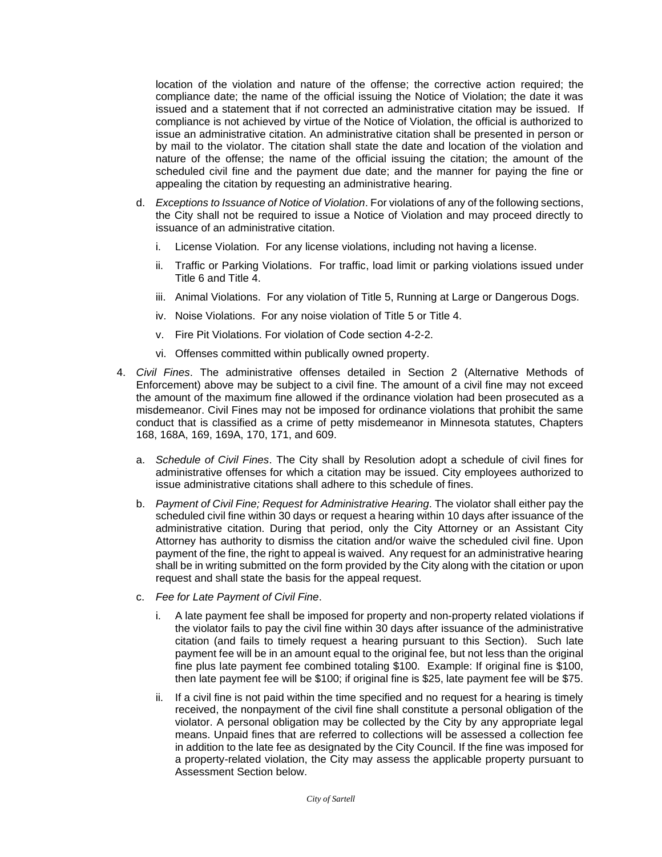location of the violation and nature of the offense; the corrective action required; the compliance date; the name of the official issuing the Notice of Violation; the date it was issued and a statement that if not corrected an administrative citation may be issued. If compliance is not achieved by virtue of the Notice of Violation, the official is authorized to issue an administrative citation. An administrative citation shall be presented in person or by mail to the violator. The citation shall state the date and location of the violation and nature of the offense; the name of the official issuing the citation; the amount of the scheduled civil fine and the payment due date; and the manner for paying the fine or appealing the citation by requesting an administrative hearing.

- d. *Exceptions to Issuance of Notice of Violation*. For violations of any of the following sections, the City shall not be required to issue a Notice of Violation and may proceed directly to issuance of an administrative citation.
	- i. License Violation. For any license violations, including not having a license.
	- ii. Traffic or Parking Violations. For traffic, load limit or parking violations issued under Title 6 and Title 4.
	- iii. Animal Violations. For any violation of Title 5, Running at Large or Dangerous Dogs.
	- iv. Noise Violations. For any noise violation of Title 5 or Title 4.
	- v. Fire Pit Violations. For violation of Code section 4-2-2.
	- vi. Offenses committed within publically owned property.
- 4. *Civil Fines*. The administrative offenses detailed in Section 2 (Alternative Methods of Enforcement) above may be subject to a civil fine. The amount of a civil fine may not exceed the amount of the maximum fine allowed if the ordinance violation had been prosecuted as a misdemeanor. Civil Fines may not be imposed for ordinance violations that prohibit the same conduct that is classified as a crime of petty misdemeanor in Minnesota statutes, Chapters 168, 168A, 169, 169A, 170, 171, and 609.
	- a. *Schedule of Civil Fines*. The City shall by Resolution adopt a schedule of civil fines for administrative offenses for which a citation may be issued. City employees authorized to issue administrative citations shall adhere to this schedule of fines.
	- b. *Payment of Civil Fine; Request for Administrative Hearing*. The violator shall either pay the scheduled civil fine within 30 days or request a hearing within 10 days after issuance of the administrative citation. During that period, only the City Attorney or an Assistant City Attorney has authority to dismiss the citation and/or waive the scheduled civil fine. Upon payment of the fine, the right to appeal is waived. Any request for an administrative hearing shall be in writing submitted on the form provided by the City along with the citation or upon request and shall state the basis for the appeal request.
	- c. *Fee for Late Payment of Civil Fine*.
		- i. A late payment fee shall be imposed for property and non-property related violations if the violator fails to pay the civil fine within 30 days after issuance of the administrative citation (and fails to timely request a hearing pursuant to this Section). Such late payment fee will be in an amount equal to the original fee, but not less than the original fine plus late payment fee combined totaling \$100. Example: If original fine is \$100, then late payment fee will be \$100; if original fine is \$25, late payment fee will be \$75.
		- ii. If a civil fine is not paid within the time specified and no request for a hearing is timely received, the nonpayment of the civil fine shall constitute a personal obligation of the violator. A personal obligation may be collected by the City by any appropriate legal means. Unpaid fines that are referred to collections will be assessed a collection fee in addition to the late fee as designated by the City Council. If the fine was imposed for a property-related violation, the City may assess the applicable property pursuant to Assessment Section below.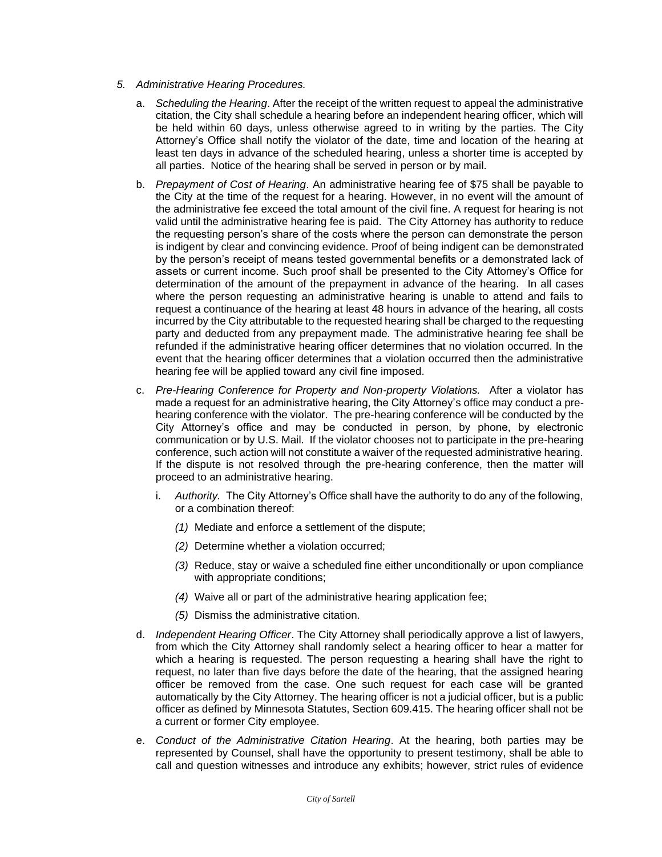- *5. Administrative Hearing Procedures.*
	- a. *Scheduling the Hearing*. After the receipt of the written request to appeal the administrative citation, the City shall schedule a hearing before an independent hearing officer, which will be held within 60 days, unless otherwise agreed to in writing by the parties. The City Attorney's Office shall notify the violator of the date, time and location of the hearing at least ten days in advance of the scheduled hearing, unless a shorter time is accepted by all parties. Notice of the hearing shall be served in person or by mail.
	- b. *Prepayment of Cost of Hearing*. An administrative hearing fee of \$75 shall be payable to the City at the time of the request for a hearing. However, in no event will the amount of the administrative fee exceed the total amount of the civil fine. A request for hearing is not valid until the administrative hearing fee is paid. The City Attorney has authority to reduce the requesting person's share of the costs where the person can demonstrate the person is indigent by clear and convincing evidence. Proof of being indigent can be demonstrated by the person's receipt of means tested governmental benefits or a demonstrated lack of assets or current income. Such proof shall be presented to the City Attorney's Office for determination of the amount of the prepayment in advance of the hearing. In all cases where the person requesting an administrative hearing is unable to attend and fails to request a continuance of the hearing at least 48 hours in advance of the hearing, all costs incurred by the City attributable to the requested hearing shall be charged to the requesting party and deducted from any prepayment made. The administrative hearing fee shall be refunded if the administrative hearing officer determines that no violation occurred. In the event that the hearing officer determines that a violation occurred then the administrative hearing fee will be applied toward any civil fine imposed.
	- c. *Pre-Hearing Conference for Property and Non-property Violations.* After a violator has made a request for an administrative hearing, the City Attorney's office may conduct a prehearing conference with the violator. The pre-hearing conference will be conducted by the City Attorney's office and may be conducted in person, by phone, by electronic communication or by U.S. Mail. If the violator chooses not to participate in the pre-hearing conference, such action will not constitute a waiver of the requested administrative hearing. If the dispute is not resolved through the pre-hearing conference, then the matter will proceed to an administrative hearing.
		- i. *Authority.* The City Attorney's Office shall have the authority to do any of the following, or a combination thereof:
			- *(1)* Mediate and enforce a settlement of the dispute;
			- *(2)* Determine whether a violation occurred;
			- *(3)* Reduce, stay or waive a scheduled fine either unconditionally or upon compliance with appropriate conditions;
			- *(4)* Waive all or part of the administrative hearing application fee;
			- *(5)* Dismiss the administrative citation.
	- d. *Independent Hearing Officer*. The City Attorney shall periodically approve a list of lawyers, from which the City Attorney shall randomly select a hearing officer to hear a matter for which a hearing is requested. The person requesting a hearing shall have the right to request, no later than five days before the date of the hearing, that the assigned hearing officer be removed from the case. One such request for each case will be granted automatically by the City Attorney. The hearing officer is not a judicial officer, but is a public officer as defined by Minnesota Statutes, Section 609.415. The hearing officer shall not be a current or former City employee.
	- e. *Conduct of the Administrative Citation Hearing*. At the hearing, both parties may be represented by Counsel, shall have the opportunity to present testimony, shall be able to call and question witnesses and introduce any exhibits; however, strict rules of evidence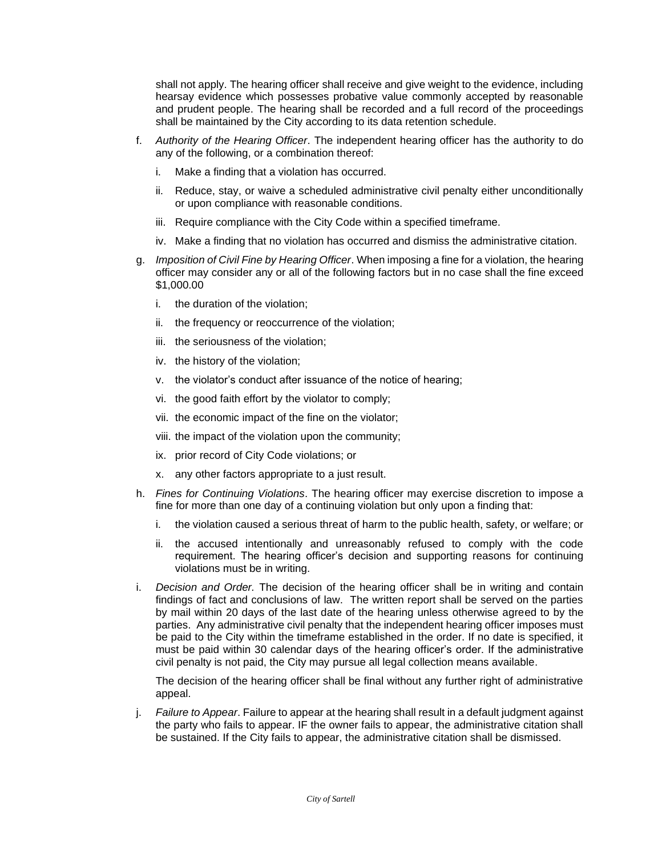shall not apply. The hearing officer shall receive and give weight to the evidence, including hearsay evidence which possesses probative value commonly accepted by reasonable and prudent people. The hearing shall be recorded and a full record of the proceedings shall be maintained by the City according to its data retention schedule.

- f. *Authority of the Hearing Officer*. The independent hearing officer has the authority to do any of the following, or a combination thereof:
	- i. Make a finding that a violation has occurred.
	- ii. Reduce, stay, or waive a scheduled administrative civil penalty either unconditionally or upon compliance with reasonable conditions.
	- iii. Require compliance with the City Code within a specified timeframe.
	- iv. Make a finding that no violation has occurred and dismiss the administrative citation.
- g. *Imposition of Civil Fine by Hearing Officer*. When imposing a fine for a violation, the hearing officer may consider any or all of the following factors but in no case shall the fine exceed \$1,000.00
	- i. the duration of the violation;
	- ii. the frequency or reoccurrence of the violation;
	- iii. the seriousness of the violation;
	- iv. the history of the violation;
	- v. the violator's conduct after issuance of the notice of hearing;
	- vi. the good faith effort by the violator to comply;
	- vii. the economic impact of the fine on the violator;
	- viii. the impact of the violation upon the community;
	- ix. prior record of City Code violations; or
	- x. any other factors appropriate to a just result.
- h. *Fines for Continuing Violations*. The hearing officer may exercise discretion to impose a fine for more than one day of a continuing violation but only upon a finding that:
	- i. the violation caused a serious threat of harm to the public health, safety, or welfare; or
	- ii. the accused intentionally and unreasonably refused to comply with the code requirement. The hearing officer's decision and supporting reasons for continuing violations must be in writing.
- i. *Decision and Order.* The decision of the hearing officer shall be in writing and contain findings of fact and conclusions of law. The written report shall be served on the parties by mail within 20 days of the last date of the hearing unless otherwise agreed to by the parties. Any administrative civil penalty that the independent hearing officer imposes must be paid to the City within the timeframe established in the order. If no date is specified, it must be paid within 30 calendar days of the hearing officer's order. If the administrative civil penalty is not paid, the City may pursue all legal collection means available.

The decision of the hearing officer shall be final without any further right of administrative appeal.

j. *Failure to Appear*. Failure to appear at the hearing shall result in a default judgment against the party who fails to appear. IF the owner fails to appear, the administrative citation shall be sustained. If the City fails to appear, the administrative citation shall be dismissed.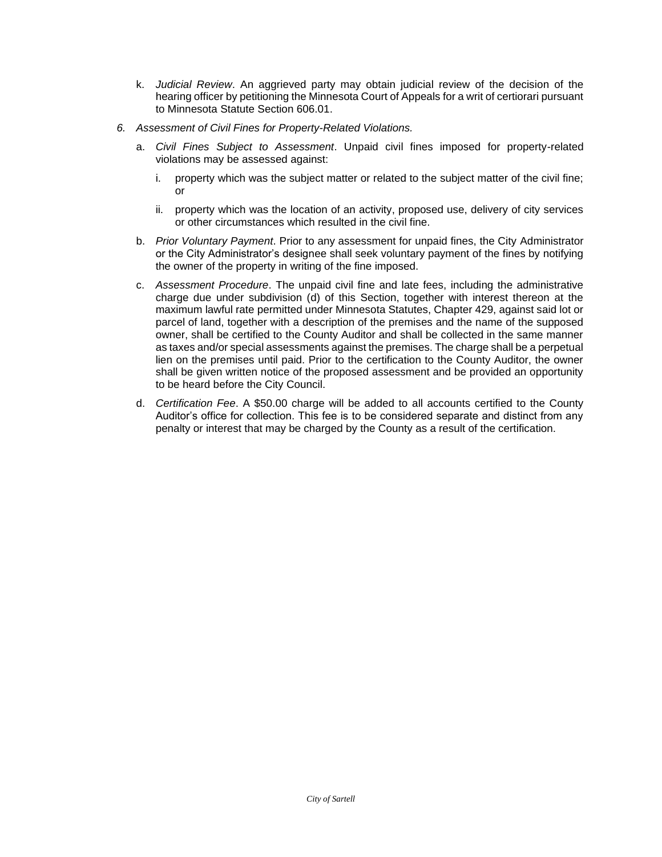- k. *Judicial Review*. An aggrieved party may obtain judicial review of the decision of the hearing officer by petitioning the Minnesota Court of Appeals for a writ of certiorari pursuant to Minnesota Statute Section 606.01.
- *6. Assessment of Civil Fines for Property-Related Violations.*
	- a. *Civil Fines Subject to Assessment*. Unpaid civil fines imposed for property-related violations may be assessed against:
		- i. property which was the subject matter or related to the subject matter of the civil fine; or
		- ii. property which was the location of an activity, proposed use, delivery of city services or other circumstances which resulted in the civil fine.
	- b. *Prior Voluntary Payment*. Prior to any assessment for unpaid fines, the City Administrator or the City Administrator's designee shall seek voluntary payment of the fines by notifying the owner of the property in writing of the fine imposed.
	- c. *Assessment Procedure*. The unpaid civil fine and late fees, including the administrative charge due under subdivision (d) of this Section, together with interest thereon at the maximum lawful rate permitted under Minnesota Statutes, Chapter 429, against said lot or parcel of land, together with a description of the premises and the name of the supposed owner, shall be certified to the County Auditor and shall be collected in the same manner as taxes and/or special assessments against the premises. The charge shall be a perpetual lien on the premises until paid. Prior to the certification to the County Auditor, the owner shall be given written notice of the proposed assessment and be provided an opportunity to be heard before the City Council.
	- d. *Certification Fee*. A \$50.00 charge will be added to all accounts certified to the County Auditor's office for collection. This fee is to be considered separate and distinct from any penalty or interest that may be charged by the County as a result of the certification.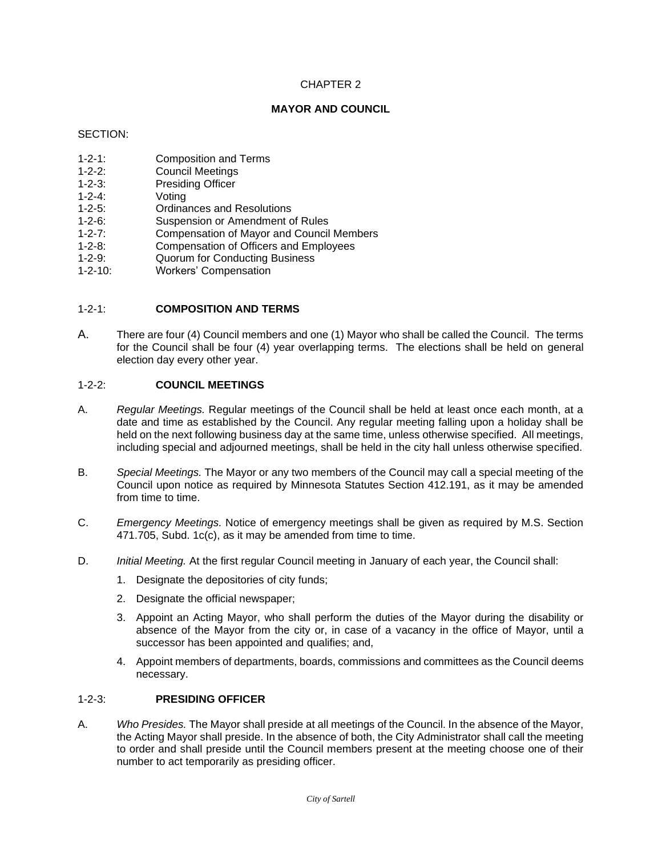## **MAYOR AND COUNCIL**

#### SECTION:

- 1-2-1: Composition and Terms
- 1-2-2: Council Meetings
- 1-2-3: Presiding Officer<br>1-2-4: Voting
- Voting
- 1-2-5: Ordinances and Resolutions
- 1-2-6: Suspension or Amendment of Rules
- 1-2-7: Compensation of Mayor and Council Members
- 1-2-8: Compensation of Officers and Employees
- 1-2-9: Quorum for Conducting Business
- 1-2-10: Workers' Compensation

#### 1-2-1: **COMPOSITION AND TERMS**

A. There are four (4) Council members and one (1) Mayor who shall be called the Council. The terms for the Council shall be four (4) year overlapping terms. The elections shall be held on general election day every other year.

### 1-2-2: **COUNCIL MEETINGS**

- A. *Regular Meetings.* Regular meetings of the Council shall be held at least once each month, at a date and time as established by the Council. Any regular meeting falling upon a holiday shall be held on the next following business day at the same time, unless otherwise specified. All meetings, including special and adjourned meetings, shall be held in the city hall unless otherwise specified.
- B. *Special Meetings.* The Mayor or any two members of the Council may call a special meeting of the Council upon notice as required by Minnesota Statutes Section 412.191, as it may be amended from time to time.
- C. *Emergency Meetings.* Notice of emergency meetings shall be given as required by M.S. Section 471.705, Subd. 1c(c), as it may be amended from time to time.
- D. *Initial Meeting.* At the first regular Council meeting in January of each year, the Council shall:
	- 1. Designate the depositories of city funds;
	- 2. Designate the official newspaper;
	- 3. Appoint an Acting Mayor, who shall perform the duties of the Mayor during the disability or absence of the Mayor from the city or, in case of a vacancy in the office of Mayor, until a successor has been appointed and qualifies; and,
	- 4. Appoint members of departments, boards, commissions and committees as the Council deems necessary.

# 1-2-3: **PRESIDING OFFICER**

A. *Who Presides.* The Mayor shall preside at all meetings of the Council. In the absence of the Mayor, the Acting Mayor shall preside. In the absence of both, the City Administrator shall call the meeting to order and shall preside until the Council members present at the meeting choose one of their number to act temporarily as presiding officer.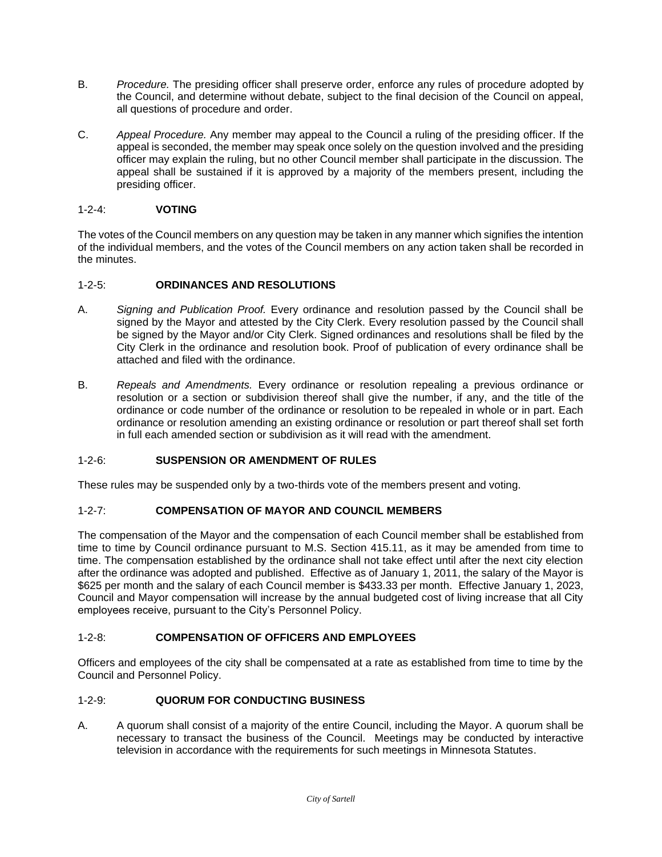- B. *Procedure.* The presiding officer shall preserve order, enforce any rules of procedure adopted by the Council, and determine without debate, subject to the final decision of the Council on appeal, all questions of procedure and order.
- C. *Appeal Procedure.* Any member may appeal to the Council a ruling of the presiding officer. If the appeal is seconded, the member may speak once solely on the question involved and the presiding officer may explain the ruling, but no other Council member shall participate in the discussion. The appeal shall be sustained if it is approved by a majority of the members present, including the presiding officer.

# 1-2-4: **VOTING**

The votes of the Council members on any question may be taken in any manner which signifies the intention of the individual members, and the votes of the Council members on any action taken shall be recorded in the minutes.

# 1-2-5: **ORDINANCES AND RESOLUTIONS**

- A. *Signing and Publication Proof.* Every ordinance and resolution passed by the Council shall be signed by the Mayor and attested by the City Clerk. Every resolution passed by the Council shall be signed by the Mayor and/or City Clerk. Signed ordinances and resolutions shall be filed by the City Clerk in the ordinance and resolution book. Proof of publication of every ordinance shall be attached and filed with the ordinance.
- B. *Repeals and Amendments.* Every ordinance or resolution repealing a previous ordinance or resolution or a section or subdivision thereof shall give the number, if any, and the title of the ordinance or code number of the ordinance or resolution to be repealed in whole or in part. Each ordinance or resolution amending an existing ordinance or resolution or part thereof shall set forth in full each amended section or subdivision as it will read with the amendment.

# 1-2-6: **SUSPENSION OR AMENDMENT OF RULES**

These rules may be suspended only by a two-thirds vote of the members present and voting.

# 1-2-7: **COMPENSATION OF MAYOR AND COUNCIL MEMBERS**

The compensation of the Mayor and the compensation of each Council member shall be established from time to time by Council ordinance pursuant to M.S. Section 415.11, as it may be amended from time to time. The compensation established by the ordinance shall not take effect until after the next city election after the ordinance was adopted and published. Effective as of January 1, 2011, the salary of the Mayor is \$625 per month and the salary of each Council member is \$433.33 per month. Effective January 1, 2023, Council and Mayor compensation will increase by the annual budgeted cost of living increase that all City employees receive, pursuant to the City's Personnel Policy.

# 1-2-8: **COMPENSATION OF OFFICERS AND EMPLOYEES**

Officers and employees of the city shall be compensated at a rate as established from time to time by the Council and Personnel Policy.

# 1-2-9: **QUORUM FOR CONDUCTING BUSINESS**

A. A quorum shall consist of a majority of the entire Council, including the Mayor. A quorum shall be necessary to transact the business of the Council. Meetings may be conducted by interactive television in accordance with the requirements for such meetings in Minnesota Statutes.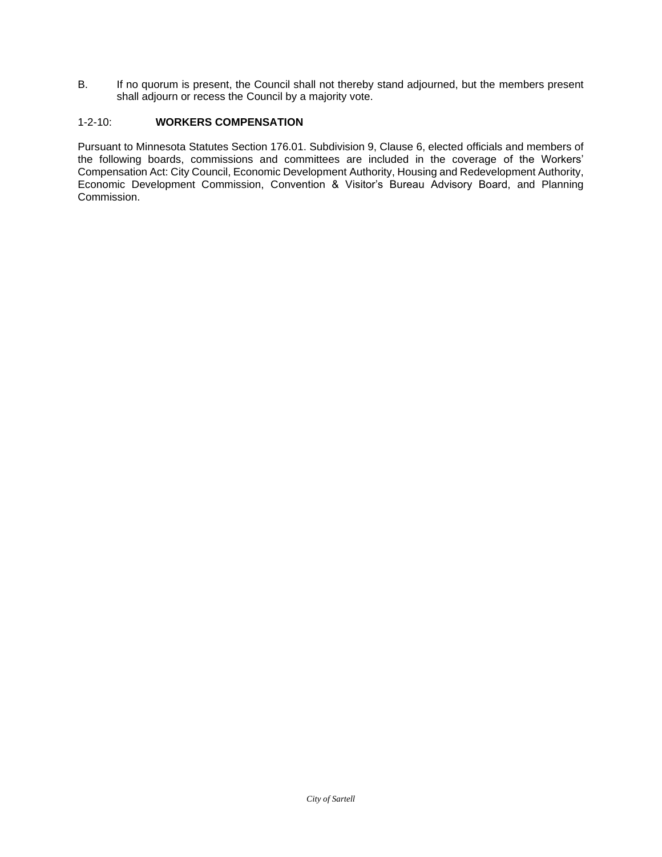B. If no quorum is present, the Council shall not thereby stand adjourned, but the members present shall adjourn or recess the Council by a majority vote.

# 1-2-10: **WORKERS COMPENSATION**

Pursuant to Minnesota Statutes Section 176.01. Subdivision 9, Clause 6, elected officials and members of the following boards, commissions and committees are included in the coverage of the Workers' Compensation Act: City Council, Economic Development Authority, Housing and Redevelopment Authority, Economic Development Commission, Convention & Visitor's Bureau Advisory Board, and Planning Commission.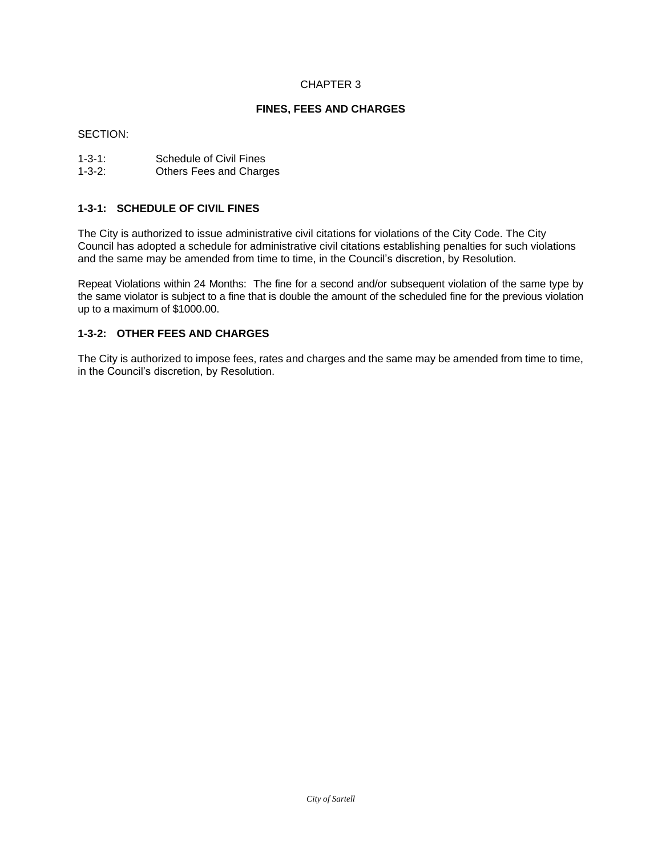#### **FINES, FEES AND CHARGES**

#### SECTION:

| $1 - 3 - 1$ : | Schedule of Civil Fines        |
|---------------|--------------------------------|
| $1 - 3 - 2:$  | <b>Others Fees and Charges</b> |

#### **1-3-1: SCHEDULE OF CIVIL FINES**

The City is authorized to issue administrative civil citations for violations of the City Code. The City Council has adopted a schedule for administrative civil citations establishing penalties for such violations and the same may be amended from time to time, in the Council's discretion, by Resolution.

Repeat Violations within 24 Months: The fine for a second and/or subsequent violation of the same type by the same violator is subject to a fine that is double the amount of the scheduled fine for the previous violation up to a maximum of \$1000.00.

## **1-3-2: OTHER FEES AND CHARGES**

The City is authorized to impose fees, rates and charges and the same may be amended from time to time, in the Council's discretion, by Resolution.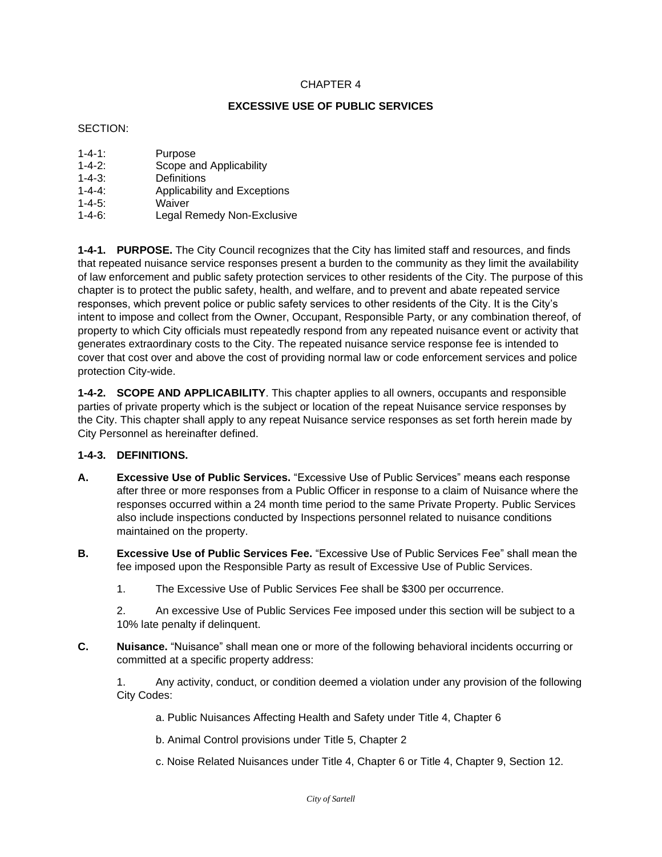# **EXCESSIVE USE OF PUBLIC SERVICES**

## SECTION:

| $1 - 4 - 1$ : | Purpose                      |
|---------------|------------------------------|
| $1 - 4 - 2$ : | Scope and Applicability      |
| $1 - 4 - 3$ : | Definitions                  |
| $1 - 4 - 4$   | Applicability and Exceptions |
| $1 - 4 - 5$ : | Waiver                       |
| $1 - 4 - 6$ : | Legal Remedy Non-Exclusive   |

**1-4-1. PURPOSE.** The City Council recognizes that the City has limited staff and resources, and finds that repeated nuisance service responses present a burden to the community as they limit the availability of law enforcement and public safety protection services to other residents of the City. The purpose of this chapter is to protect the public safety, health, and welfare, and to prevent and abate repeated service responses, which prevent police or public safety services to other residents of the City. It is the City's intent to impose and collect from the Owner, Occupant, Responsible Party, or any combination thereof, of property to which City officials must repeatedly respond from any repeated nuisance event or activity that generates extraordinary costs to the City. The repeated nuisance service response fee is intended to cover that cost over and above the cost of providing normal law or code enforcement services and police protection City-wide.

**1-4-2. SCOPE AND APPLICABILITY**. This chapter applies to all owners, occupants and responsible parties of private property which is the subject or location of the repeat Nuisance service responses by the City. This chapter shall apply to any repeat Nuisance service responses as set forth herein made by City Personnel as hereinafter defined.

# **1-4-3. DEFINITIONS.**

- **A. Excessive Use of Public Services.** "Excessive Use of Public Services" means each response after three or more responses from a Public Officer in response to a claim of Nuisance where the responses occurred within a 24 month time period to the same Private Property. Public Services also include inspections conducted by Inspections personnel related to nuisance conditions maintained on the property.
- **B. Excessive Use of Public Services Fee.** "Excessive Use of Public Services Fee" shall mean the fee imposed upon the Responsible Party as result of Excessive Use of Public Services.

1. The Excessive Use of Public Services Fee shall be \$300 per occurrence.

2. An excessive Use of Public Services Fee imposed under this section will be subject to a 10% late penalty if delinquent.

**C. Nuisance.** "Nuisance" shall mean one or more of the following behavioral incidents occurring or committed at a specific property address:

1. Any activity, conduct, or condition deemed a violation under any provision of the following City Codes:

a. Public Nuisances Affecting Health and Safety under Title 4, Chapter 6

b. Animal Control provisions under Title 5, Chapter 2

c. Noise Related Nuisances under Title 4, Chapter 6 or Title 4, Chapter 9, Section 12.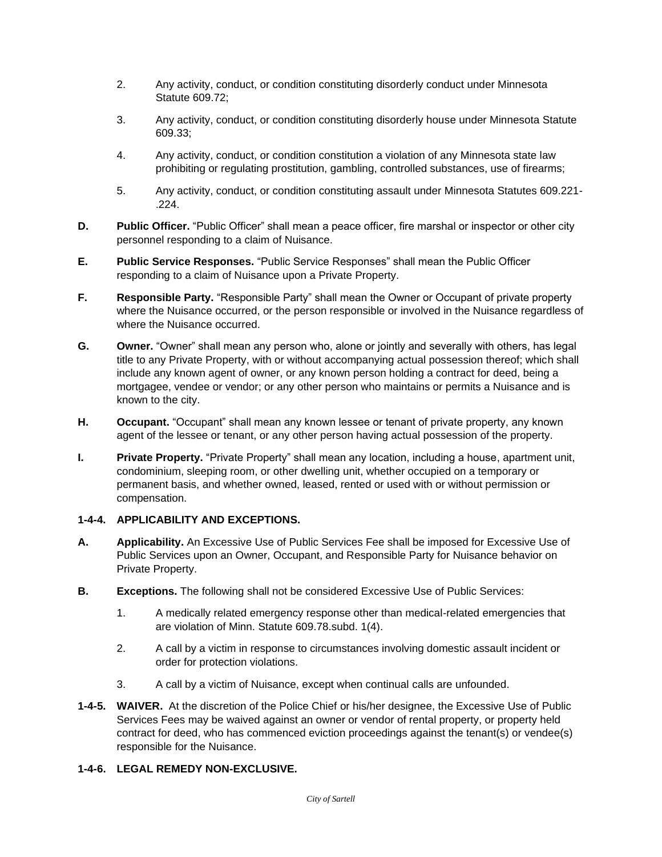- 2. Any activity, conduct, or condition constituting disorderly conduct under Minnesota Statute 609.72;
- 3. Any activity, conduct, or condition constituting disorderly house under Minnesota Statute 609.33;
- 4. Any activity, conduct, or condition constitution a violation of any Minnesota state law prohibiting or regulating prostitution, gambling, controlled substances, use of firearms;
- 5. Any activity, conduct, or condition constituting assault under Minnesota Statutes 609.221- .224.
- **D. Public Officer.** "Public Officer" shall mean a peace officer, fire marshal or inspector or other city personnel responding to a claim of Nuisance.
- **E. Public Service Responses.** "Public Service Responses" shall mean the Public Officer responding to a claim of Nuisance upon a Private Property.
- **F. Responsible Party.** "Responsible Party" shall mean the Owner or Occupant of private property where the Nuisance occurred, or the person responsible or involved in the Nuisance regardless of where the Nuisance occurred.
- **G. Owner.** "Owner" shall mean any person who, alone or jointly and severally with others, has legal title to any Private Property, with or without accompanying actual possession thereof; which shall include any known agent of owner, or any known person holding a contract for deed, being a mortgagee, vendee or vendor; or any other person who maintains or permits a Nuisance and is known to the city.
- **H. Occupant.** "Occupant" shall mean any known lessee or tenant of private property, any known agent of the lessee or tenant, or any other person having actual possession of the property.
- **I. Private Property.** "Private Property" shall mean any location, including a house, apartment unit, condominium, sleeping room, or other dwelling unit, whether occupied on a temporary or permanent basis, and whether owned, leased, rented or used with or without permission or compensation.

# **1-4-4. APPLICABILITY AND EXCEPTIONS.**

- **A. Applicability.** An Excessive Use of Public Services Fee shall be imposed for Excessive Use of Public Services upon an Owner, Occupant, and Responsible Party for Nuisance behavior on Private Property.
- **B. Exceptions.** The following shall not be considered Excessive Use of Public Services:
	- 1. A medically related emergency response other than medical-related emergencies that are violation of Minn. Statute 609.78.subd. 1(4).
	- 2. A call by a victim in response to circumstances involving domestic assault incident or order for protection violations.
	- 3. A call by a victim of Nuisance, except when continual calls are unfounded.
- **1-4-5. WAIVER.** At the discretion of the Police Chief or his/her designee, the Excessive Use of Public Services Fees may be waived against an owner or vendor of rental property, or property held contract for deed, who has commenced eviction proceedings against the tenant(s) or vendee(s) responsible for the Nuisance.

# **1-4-6. LEGAL REMEDY NON-EXCLUSIVE.**